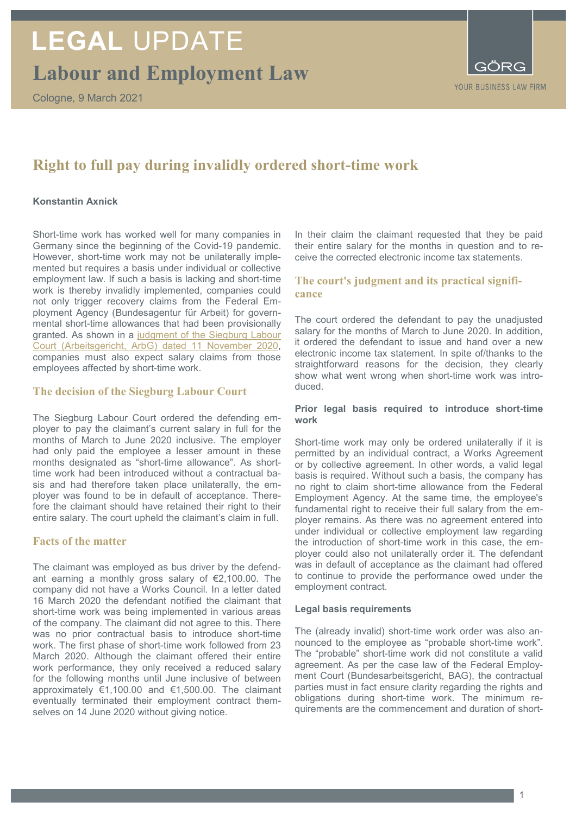**Labour and Employment Law**



# **Right to full pay during invalidly ordered short-time work**

### **Konstantin Axnick**

Short-time work has worked well for many companies in Germany since the beginning of the Covid-19 pandemic. However, short-time work may not be unilaterally implemented but requires a basis under individual or collective employment law. If such a basis is lacking and short-time work is thereby invalidly implemented, companies could not only trigger recovery claims from the Federal Employment Agency (Bundesagentur für Arbeit) for governmental short-time allowances that had been provisionally granted. As shown in a judgment of the Siegburg Labour [Court \(Arbeitsgericht, ArbG\) dated 11 November 2020,](https://openjur.de/u/2312084.html) companies must also expect salary claims from those employees affected by short-time work.

# **The decision of the Siegburg Labour Court**

The Siegburg Labour Court ordered the defending employer to pay the claimant's current salary in full for the months of March to June 2020 inclusive. The employer had only paid the employee a lesser amount in these months designated as "short-time allowance". As shorttime work had been introduced without a contractual basis and had therefore taken place unilaterally, the employer was found to be in default of acceptance. Therefore the claimant should have retained their right to their entire salary. The court upheld the claimant's claim in full.

# **Facts of the matter**

The claimant was employed as bus driver by the defendant earning a monthly gross salary of €2,100.00. The company did not have a Works Council. In a letter dated 16 March 2020 the defendant notified the claimant that short-time work was being implemented in various areas of the company. The claimant did not agree to this. There was no prior contractual basis to introduce short-time work. The first phase of short-time work followed from 23 March 2020. Although the claimant offered their entire work performance, they only received a reduced salary for the following months until June inclusive of between approximately €1,100.00 and €1,500.00. The claimant eventually terminated their employment contract themselves on 14 June 2020 without giving notice.

In their claim the claimant requested that they be paid their entire salary for the months in question and to receive the corrected electronic income tax statements.

# **The court's judgment and its practical significance**

The court ordered the defendant to pay the unadjusted salary for the months of March to June 2020. In addition, it ordered the defendant to issue and hand over a new electronic income tax statement. In spite of/thanks to the straightforward reasons for the decision, they clearly show what went wrong when short-time work was introduced.

#### **Prior legal basis required to introduce short-time work**

Short-time work may only be ordered unilaterally if it is permitted by an individual contract, a Works Agreement or by collective agreement. In other words, a valid legal basis is required. Without such a basis, the company has no right to claim short-time allowance from the Federal Employment Agency. At the same time, the employee's fundamental right to receive their full salary from the employer remains. As there was no agreement entered into under individual or collective employment law regarding the introduction of short-time work in this case, the employer could also not unilaterally order it. The defendant was in default of acceptance as the claimant had offered to continue to provide the performance owed under the employment contract.

#### **Legal basis requirements**

The (already invalid) short-time work order was also announced to the employee as "probable short-time work". The "probable" short-time work did not constitute a valid agreement. As per the case law of the Federal Employment Court (Bundesarbeitsgericht, BAG), the contractual parties must in fact ensure clarity regarding the rights and obligations during short-time work. The minimum requirements are the commencement and duration of short-